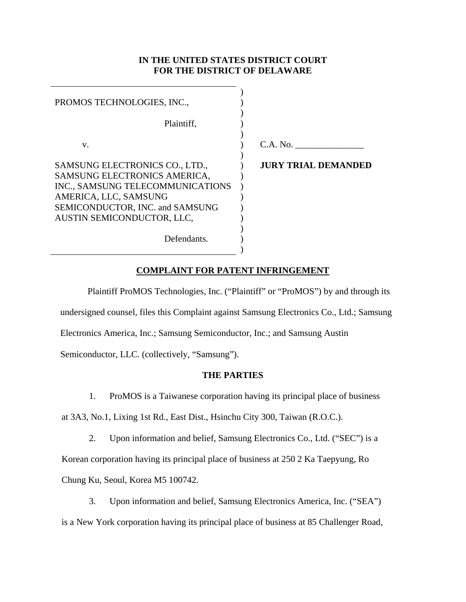## **IN THE UNITED STATES DISTRICT COURT FOR THE DISTRICT OF DELAWARE**

| PROMOS TECHNOLOGIES, INC.,       |                            |
|----------------------------------|----------------------------|
| Plaintiff.                       |                            |
| V.                               | C.A. No.                   |
| SAMSUNG ELECTRONICS CO., LTD.,   | <b>JURY TRIAL DEMANDED</b> |
| SAMSUNG ELECTRONICS AMERICA,     |                            |
| INC., SAMSUNG TELECOMMUNICATIONS |                            |
| AMERICA, LLC, SAMSUNG            |                            |
| SEMICONDUCTOR, INC. and SAMSUNG  |                            |
| AUSTIN SEMICONDUCTOR, LLC,       |                            |
| Defendants.                      |                            |

# **COMPLAINT FOR PATENT INFRINGEMENT**

Plaintiff ProMOS Technologies, Inc. ("Plaintiff" or "ProMOS") by and through its undersigned counsel, files this Complaint against Samsung Electronics Co., Ltd.; Samsung Electronics America, Inc.; Samsung Semiconductor, Inc.; and Samsung Austin Semiconductor, LLC. (collectively, "Samsung").

## **THE PARTIES**

1. ProMOS is a Taiwanese corporation having its principal place of business

at 3A3, No.1, Lixing 1st Rd., East Dist., Hsinchu City 300, Taiwan (R.O.C.).

2. Upon information and belief, Samsung Electronics Co., Ltd. ("SEC") is a Korean corporation having its principal place of business at 250 2 Ka Taepyung, Ro Chung Ku, Seoul, Korea M5 100742.

3. Upon information and belief, Samsung Electronics America, Inc. ("SEA") is a New York corporation having its principal place of business at 85 Challenger Road,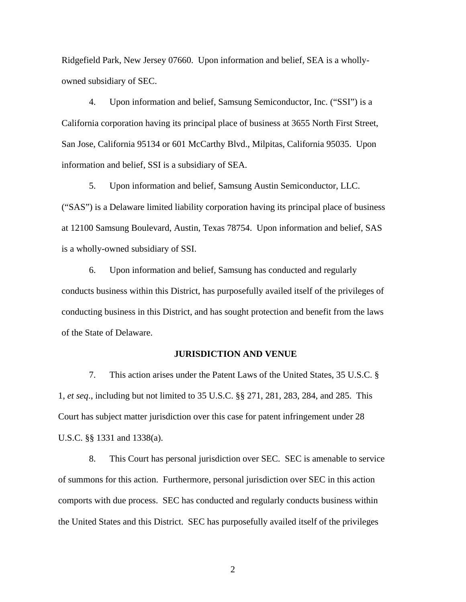Ridgefield Park, New Jersey 07660. Upon information and belief, SEA is a whollyowned subsidiary of SEC.

4. Upon information and belief, Samsung Semiconductor, Inc. ("SSI") is a California corporation having its principal place of business at 3655 North First Street, San Jose, California 95134 or 601 McCarthy Blvd., Milpitas, California 95035. Upon information and belief, SSI is a subsidiary of SEA.

5. Upon information and belief, Samsung Austin Semiconductor, LLC. ("SAS") is a Delaware limited liability corporation having its principal place of business at 12100 Samsung Boulevard, Austin, Texas 78754. Upon information and belief, SAS is a wholly-owned subsidiary of SSI.

6. Upon information and belief, Samsung has conducted and regularly conducts business within this District, has purposefully availed itself of the privileges of conducting business in this District, and has sought protection and benefit from the laws of the State of Delaware.

## **JURISDICTION AND VENUE**

7. This action arises under the Patent Laws of the United States, 35 U.S.C. § 1, *et seq*., including but not limited to 35 U.S.C. §§ 271, 281, 283, 284, and 285. This Court has subject matter jurisdiction over this case for patent infringement under 28 U.S.C. §§ 1331 and 1338(a).

8. This Court has personal jurisdiction over SEC. SEC is amenable to service of summons for this action. Furthermore, personal jurisdiction over SEC in this action comports with due process. SEC has conducted and regularly conducts business within the United States and this District. SEC has purposefully availed itself of the privileges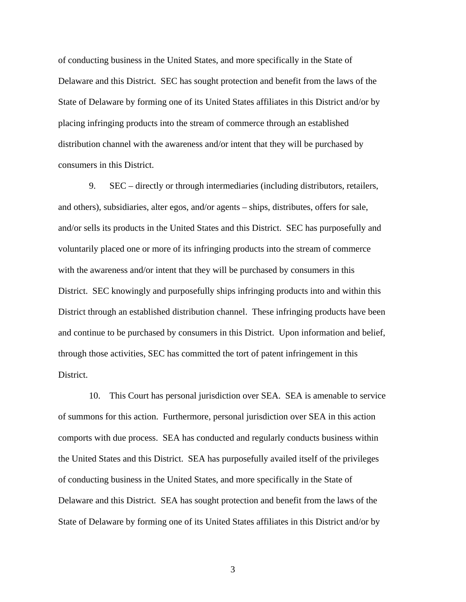of conducting business in the United States, and more specifically in the State of Delaware and this District. SEC has sought protection and benefit from the laws of the State of Delaware by forming one of its United States affiliates in this District and/or by placing infringing products into the stream of commerce through an established distribution channel with the awareness and/or intent that they will be purchased by consumers in this District.

9. SEC – directly or through intermediaries (including distributors, retailers, and others), subsidiaries, alter egos, and/or agents – ships, distributes, offers for sale, and/or sells its products in the United States and this District. SEC has purposefully and voluntarily placed one or more of its infringing products into the stream of commerce with the awareness and/or intent that they will be purchased by consumers in this District. SEC knowingly and purposefully ships infringing products into and within this District through an established distribution channel. These infringing products have been and continue to be purchased by consumers in this District. Upon information and belief, through those activities, SEC has committed the tort of patent infringement in this District.

10. This Court has personal jurisdiction over SEA. SEA is amenable to service of summons for this action. Furthermore, personal jurisdiction over SEA in this action comports with due process. SEA has conducted and regularly conducts business within the United States and this District. SEA has purposefully availed itself of the privileges of conducting business in the United States, and more specifically in the State of Delaware and this District. SEA has sought protection and benefit from the laws of the State of Delaware by forming one of its United States affiliates in this District and/or by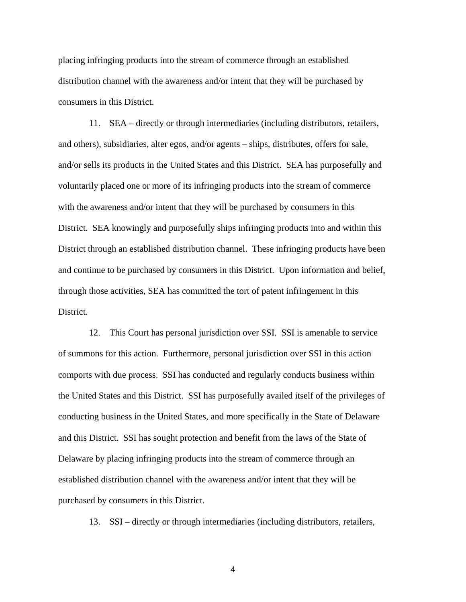placing infringing products into the stream of commerce through an established distribution channel with the awareness and/or intent that they will be purchased by consumers in this District.

11. SEA – directly or through intermediaries (including distributors, retailers, and others), subsidiaries, alter egos, and/or agents – ships, distributes, offers for sale, and/or sells its products in the United States and this District. SEA has purposefully and voluntarily placed one or more of its infringing products into the stream of commerce with the awareness and/or intent that they will be purchased by consumers in this District. SEA knowingly and purposefully ships infringing products into and within this District through an established distribution channel. These infringing products have been and continue to be purchased by consumers in this District. Upon information and belief, through those activities, SEA has committed the tort of patent infringement in this District.

12. This Court has personal jurisdiction over SSI. SSI is amenable to service of summons for this action. Furthermore, personal jurisdiction over SSI in this action comports with due process. SSI has conducted and regularly conducts business within the United States and this District. SSI has purposefully availed itself of the privileges of conducting business in the United States, and more specifically in the State of Delaware and this District. SSI has sought protection and benefit from the laws of the State of Delaware by placing infringing products into the stream of commerce through an established distribution channel with the awareness and/or intent that they will be purchased by consumers in this District.

13. SSI – directly or through intermediaries (including distributors, retailers,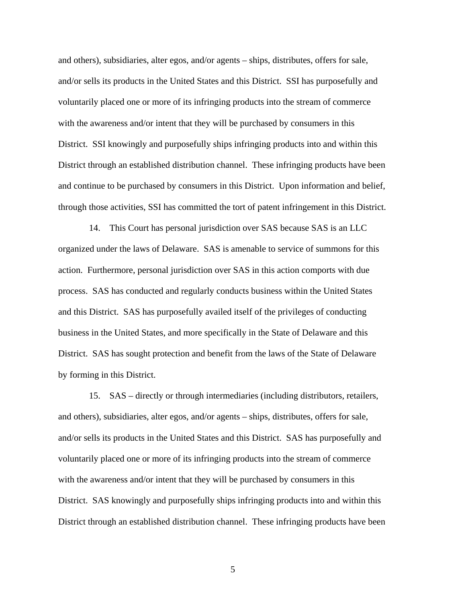and others), subsidiaries, alter egos, and/or agents – ships, distributes, offers for sale, and/or sells its products in the United States and this District. SSI has purposefully and voluntarily placed one or more of its infringing products into the stream of commerce with the awareness and/or intent that they will be purchased by consumers in this District. SSI knowingly and purposefully ships infringing products into and within this District through an established distribution channel. These infringing products have been and continue to be purchased by consumers in this District. Upon information and belief, through those activities, SSI has committed the tort of patent infringement in this District.

14. This Court has personal jurisdiction over SAS because SAS is an LLC organized under the laws of Delaware. SAS is amenable to service of summons for this action. Furthermore, personal jurisdiction over SAS in this action comports with due process. SAS has conducted and regularly conducts business within the United States and this District. SAS has purposefully availed itself of the privileges of conducting business in the United States, and more specifically in the State of Delaware and this District. SAS has sought protection and benefit from the laws of the State of Delaware by forming in this District.

15. SAS – directly or through intermediaries (including distributors, retailers, and others), subsidiaries, alter egos, and/or agents – ships, distributes, offers for sale, and/or sells its products in the United States and this District. SAS has purposefully and voluntarily placed one or more of its infringing products into the stream of commerce with the awareness and/or intent that they will be purchased by consumers in this District. SAS knowingly and purposefully ships infringing products into and within this District through an established distribution channel. These infringing products have been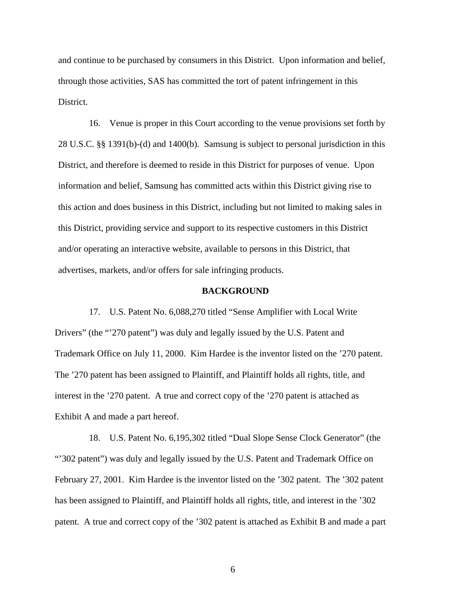and continue to be purchased by consumers in this District. Upon information and belief, through those activities, SAS has committed the tort of patent infringement in this District.

16. Venue is proper in this Court according to the venue provisions set forth by 28 U.S.C. §§ 1391(b)-(d) and 1400(b). Samsung is subject to personal jurisdiction in this District, and therefore is deemed to reside in this District for purposes of venue. Upon information and belief, Samsung has committed acts within this District giving rise to this action and does business in this District, including but not limited to making sales in this District, providing service and support to its respective customers in this District and/or operating an interactive website, available to persons in this District, that advertises, markets, and/or offers for sale infringing products.

## **BACKGROUND**

17. U.S. Patent No. 6,088,270 titled "Sense Amplifier with Local Write Drivers" (the "270 patent") was duly and legally issued by the U.S. Patent and Trademark Office on July 11, 2000. Kim Hardee is the inventor listed on the '270 patent. The '270 patent has been assigned to Plaintiff, and Plaintiff holds all rights, title, and interest in the '270 patent. A true and correct copy of the '270 patent is attached as Exhibit A and made a part hereof.

18. U.S. Patent No. 6,195,302 titled "Dual Slope Sense Clock Generator" (the "302 patent") was duly and legally issued by the U.S. Patent and Trademark Office on February 27, 2001. Kim Hardee is the inventor listed on the '302 patent. The '302 patent has been assigned to Plaintiff, and Plaintiff holds all rights, title, and interest in the '302 patent. A true and correct copy of the '302 patent is attached as Exhibit B and made a part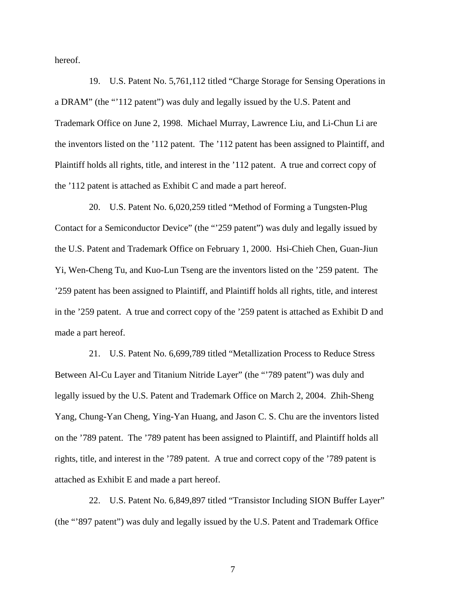hereof.

19. U.S. Patent No. 5,761,112 titled "Charge Storage for Sensing Operations in a DRAM" (the "'112 patent") was duly and legally issued by the U.S. Patent and Trademark Office on June 2, 1998. Michael Murray, Lawrence Liu, and Li-Chun Li are the inventors listed on the '112 patent. The '112 patent has been assigned to Plaintiff, and Plaintiff holds all rights, title, and interest in the '112 patent. A true and correct copy of the '112 patent is attached as Exhibit C and made a part hereof.

20. U.S. Patent No. 6,020,259 titled "Method of Forming a Tungsten-Plug Contact for a Semiconductor Device" (the "'259 patent") was duly and legally issued by the U.S. Patent and Trademark Office on February 1, 2000. Hsi-Chieh Chen, Guan-Jiun Yi, Wen-Cheng Tu, and Kuo-Lun Tseng are the inventors listed on the '259 patent. The '259 patent has been assigned to Plaintiff, and Plaintiff holds all rights, title, and interest in the '259 patent. A true and correct copy of the '259 patent is attached as Exhibit D and made a part hereof.

21. U.S. Patent No. 6,699,789 titled "Metallization Process to Reduce Stress Between Al-Cu Layer and Titanium Nitride Layer" (the "'789 patent") was duly and legally issued by the U.S. Patent and Trademark Office on March 2, 2004. Zhih-Sheng Yang, Chung-Yan Cheng, Ying-Yan Huang, and Jason C. S. Chu are the inventors listed on the '789 patent. The '789 patent has been assigned to Plaintiff, and Plaintiff holds all rights, title, and interest in the '789 patent. A true and correct copy of the '789 patent is attached as Exhibit E and made a part hereof.

22. U.S. Patent No. 6,849,897 titled "Transistor Including SION Buffer Layer" (the "'897 patent") was duly and legally issued by the U.S. Patent and Trademark Office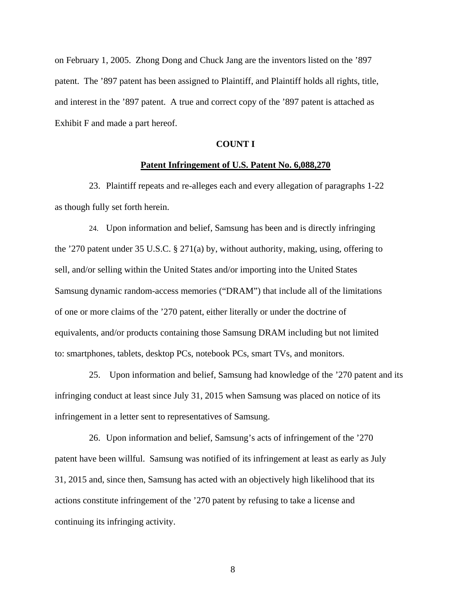on February 1, 2005. Zhong Dong and Chuck Jang are the inventors listed on the '897 patent. The '897 patent has been assigned to Plaintiff, and Plaintiff holds all rights, title, and interest in the '897 patent. A true and correct copy of the '897 patent is attached as Exhibit F and made a part hereof.

## **COUNT I**

#### **Patent Infringement of U.S. Patent No. 6,088,270**

23. Plaintiff repeats and re-alleges each and every allegation of paragraphs 1-22 as though fully set forth herein.

24. Upon information and belief, Samsung has been and is directly infringing the '270 patent under 35 U.S.C. § 271(a) by, without authority, making, using, offering to sell, and/or selling within the United States and/or importing into the United States Samsung dynamic random-access memories ("DRAM") that include all of the limitations of one or more claims of the '270 patent, either literally or under the doctrine of equivalents, and/or products containing those Samsung DRAM including but not limited to: smartphones, tablets, desktop PCs, notebook PCs, smart TVs, and monitors.

25. Upon information and belief, Samsung had knowledge of the '270 patent and its infringing conduct at least since July 31, 2015 when Samsung was placed on notice of its infringement in a letter sent to representatives of Samsung.

26. Upon information and belief, Samsung's acts of infringement of the '270 patent have been willful. Samsung was notified of its infringement at least as early as July 31, 2015 and, since then, Samsung has acted with an objectively high likelihood that its actions constitute infringement of the '270 patent by refusing to take a license and continuing its infringing activity.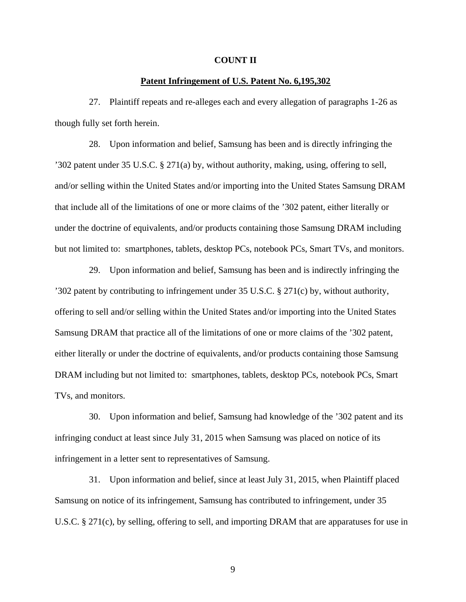#### **COUNT II**

## **Patent Infringement of U.S. Patent No. 6,195,302**

27. Plaintiff repeats and re-alleges each and every allegation of paragraphs 1-26 as though fully set forth herein.

28. Upon information and belief, Samsung has been and is directly infringing the '302 patent under 35 U.S.C. § 271(a) by, without authority, making, using, offering to sell, and/or selling within the United States and/or importing into the United States Samsung DRAM that include all of the limitations of one or more claims of the '302 patent, either literally or under the doctrine of equivalents, and/or products containing those Samsung DRAM including but not limited to: smartphones, tablets, desktop PCs, notebook PCs, Smart TVs, and monitors.

29. Upon information and belief, Samsung has been and is indirectly infringing the '302 patent by contributing to infringement under 35 U.S.C. § 271(c) by, without authority, offering to sell and/or selling within the United States and/or importing into the United States Samsung DRAM that practice all of the limitations of one or more claims of the '302 patent, either literally or under the doctrine of equivalents, and/or products containing those Samsung DRAM including but not limited to: smartphones, tablets, desktop PCs, notebook PCs, Smart TVs, and monitors.

30. Upon information and belief, Samsung had knowledge of the '302 patent and its infringing conduct at least since July 31, 2015 when Samsung was placed on notice of its infringement in a letter sent to representatives of Samsung.

31. Upon information and belief, since at least July 31, 2015, when Plaintiff placed Samsung on notice of its infringement, Samsung has contributed to infringement, under 35 U.S.C. § 271(c), by selling, offering to sell, and importing DRAM that are apparatuses for use in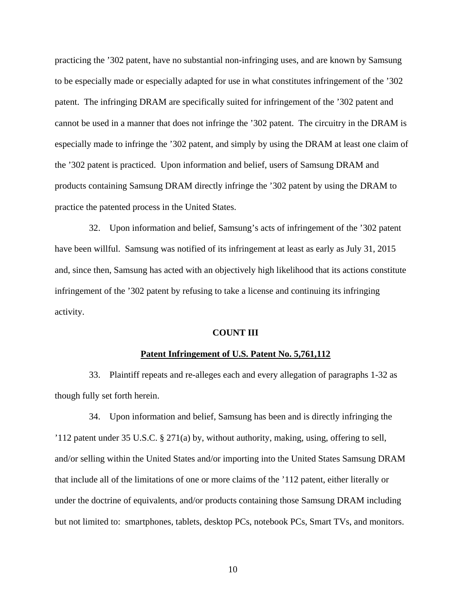practicing the '302 patent, have no substantial non-infringing uses, and are known by Samsung to be especially made or especially adapted for use in what constitutes infringement of the '302 patent. The infringing DRAM are specifically suited for infringement of the '302 patent and cannot be used in a manner that does not infringe the '302 patent. The circuitry in the DRAM is especially made to infringe the '302 patent, and simply by using the DRAM at least one claim of the '302 patent is practiced. Upon information and belief, users of Samsung DRAM and products containing Samsung DRAM directly infringe the '302 patent by using the DRAM to practice the patented process in the United States.

32. Upon information and belief, Samsung's acts of infringement of the '302 patent have been willful. Samsung was notified of its infringement at least as early as July 31, 2015 and, since then, Samsung has acted with an objectively high likelihood that its actions constitute infringement of the '302 patent by refusing to take a license and continuing its infringing activity.

#### **COUNT III**

#### **Patent Infringement of U.S. Patent No. 5,761,112**

33. Plaintiff repeats and re-alleges each and every allegation of paragraphs 1-32 as though fully set forth herein.

34. Upon information and belief, Samsung has been and is directly infringing the '112 patent under 35 U.S.C. § 271(a) by, without authority, making, using, offering to sell, and/or selling within the United States and/or importing into the United States Samsung DRAM that include all of the limitations of one or more claims of the '112 patent, either literally or under the doctrine of equivalents, and/or products containing those Samsung DRAM including but not limited to: smartphones, tablets, desktop PCs, notebook PCs, Smart TVs, and monitors.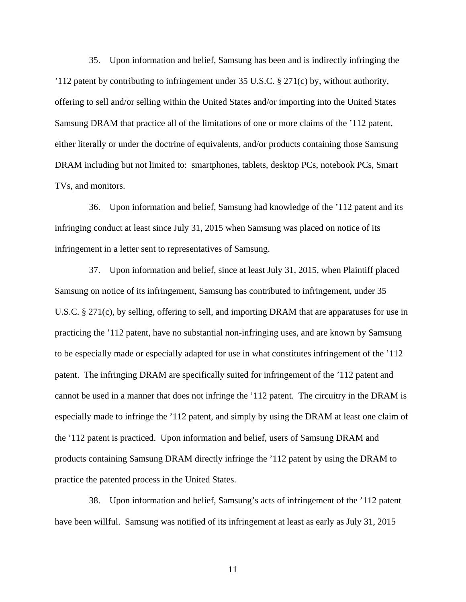35. Upon information and belief, Samsung has been and is indirectly infringing the '112 patent by contributing to infringement under 35 U.S.C. § 271(c) by, without authority, offering to sell and/or selling within the United States and/or importing into the United States Samsung DRAM that practice all of the limitations of one or more claims of the '112 patent, either literally or under the doctrine of equivalents, and/or products containing those Samsung DRAM including but not limited to: smartphones, tablets, desktop PCs, notebook PCs, Smart TVs, and monitors.

36. Upon information and belief, Samsung had knowledge of the '112 patent and its infringing conduct at least since July 31, 2015 when Samsung was placed on notice of its infringement in a letter sent to representatives of Samsung.

37. Upon information and belief, since at least July 31, 2015, when Plaintiff placed Samsung on notice of its infringement, Samsung has contributed to infringement, under 35 U.S.C. § 271(c), by selling, offering to sell, and importing DRAM that are apparatuses for use in practicing the '112 patent, have no substantial non-infringing uses, and are known by Samsung to be especially made or especially adapted for use in what constitutes infringement of the '112 patent. The infringing DRAM are specifically suited for infringement of the '112 patent and cannot be used in a manner that does not infringe the '112 patent. The circuitry in the DRAM is especially made to infringe the '112 patent, and simply by using the DRAM at least one claim of the '112 patent is practiced. Upon information and belief, users of Samsung DRAM and products containing Samsung DRAM directly infringe the '112 patent by using the DRAM to practice the patented process in the United States.

38. Upon information and belief, Samsung's acts of infringement of the '112 patent have been willful. Samsung was notified of its infringement at least as early as July 31, 2015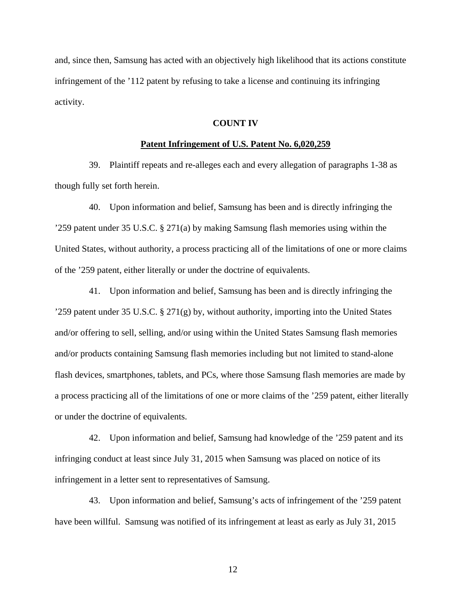and, since then, Samsung has acted with an objectively high likelihood that its actions constitute infringement of the '112 patent by refusing to take a license and continuing its infringing activity.

## **COUNT IV**

## **Patent Infringement of U.S. Patent No. 6,020,259**

39. Plaintiff repeats and re-alleges each and every allegation of paragraphs 1-38 as though fully set forth herein.

40. Upon information and belief, Samsung has been and is directly infringing the '259 patent under 35 U.S.C. § 271(a) by making Samsung flash memories using within the United States, without authority, a process practicing all of the limitations of one or more claims of the '259 patent, either literally or under the doctrine of equivalents.

41. Upon information and belief, Samsung has been and is directly infringing the '259 patent under 35 U.S.C. § 271(g) by, without authority, importing into the United States and/or offering to sell, selling, and/or using within the United States Samsung flash memories and/or products containing Samsung flash memories including but not limited to stand-alone flash devices, smartphones, tablets, and PCs, where those Samsung flash memories are made by a process practicing all of the limitations of one or more claims of the '259 patent, either literally or under the doctrine of equivalents.

42. Upon information and belief, Samsung had knowledge of the '259 patent and its infringing conduct at least since July 31, 2015 when Samsung was placed on notice of its infringement in a letter sent to representatives of Samsung.

43. Upon information and belief, Samsung's acts of infringement of the '259 patent have been willful. Samsung was notified of its infringement at least as early as July 31, 2015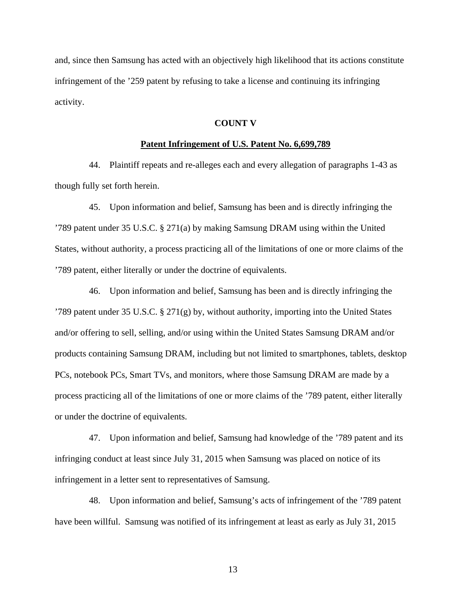and, since then Samsung has acted with an objectively high likelihood that its actions constitute infringement of the '259 patent by refusing to take a license and continuing its infringing activity.

#### **COUNT V**

## **Patent Infringement of U.S. Patent No. 6,699,789**

44. Plaintiff repeats and re-alleges each and every allegation of paragraphs 1-43 as though fully set forth herein.

45. Upon information and belief, Samsung has been and is directly infringing the '789 patent under 35 U.S.C. § 271(a) by making Samsung DRAM using within the United States, without authority, a process practicing all of the limitations of one or more claims of the '789 patent, either literally or under the doctrine of equivalents.

46. Upon information and belief, Samsung has been and is directly infringing the '789 patent under 35 U.S.C. § 271(g) by, without authority, importing into the United States and/or offering to sell, selling, and/or using within the United States Samsung DRAM and/or products containing Samsung DRAM, including but not limited to smartphones, tablets, desktop PCs, notebook PCs, Smart TVs, and monitors, where those Samsung DRAM are made by a process practicing all of the limitations of one or more claims of the '789 patent, either literally or under the doctrine of equivalents.

47. Upon information and belief, Samsung had knowledge of the '789 patent and its infringing conduct at least since July 31, 2015 when Samsung was placed on notice of its infringement in a letter sent to representatives of Samsung.

48. Upon information and belief, Samsung's acts of infringement of the '789 patent have been willful. Samsung was notified of its infringement at least as early as July 31, 2015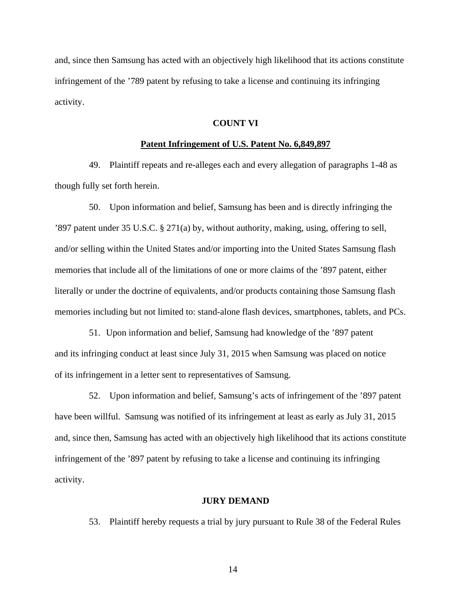and, since then Samsung has acted with an objectively high likelihood that its actions constitute infringement of the '789 patent by refusing to take a license and continuing its infringing activity.

## **COUNT VI**

## **Patent Infringement of U.S. Patent No. 6,849,897**

49. Plaintiff repeats and re-alleges each and every allegation of paragraphs 1-48 as though fully set forth herein.

50. Upon information and belief, Samsung has been and is directly infringing the '897 patent under 35 U.S.C. § 271(a) by, without authority, making, using, offering to sell, and/or selling within the United States and/or importing into the United States Samsung flash memories that include all of the limitations of one or more claims of the '897 patent, either literally or under the doctrine of equivalents, and/or products containing those Samsung flash memories including but not limited to: stand-alone flash devices, smartphones, tablets, and PCs.

51. Upon information and belief, Samsung had knowledge of the '897 patent and its infringing conduct at least since July 31, 2015 when Samsung was placed on notice of its infringement in a letter sent to representatives of Samsung.

52. Upon information and belief, Samsung's acts of infringement of the '897 patent have been willful. Samsung was notified of its infringement at least as early as July 31, 2015 and, since then, Samsung has acted with an objectively high likelihood that its actions constitute infringement of the '897 patent by refusing to take a license and continuing its infringing activity.

## **JURY DEMAND**

53. Plaintiff hereby requests a trial by jury pursuant to Rule 38 of the Federal Rules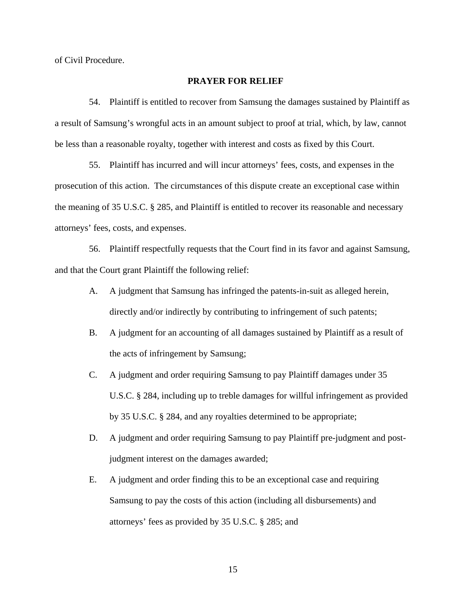of Civil Procedure.

## **PRAYER FOR RELIEF**

54. Plaintiff is entitled to recover from Samsung the damages sustained by Plaintiff as a result of Samsung's wrongful acts in an amount subject to proof at trial, which, by law, cannot be less than a reasonable royalty, together with interest and costs as fixed by this Court.

55. Plaintiff has incurred and will incur attorneys' fees, costs, and expenses in the prosecution of this action. The circumstances of this dispute create an exceptional case within the meaning of 35 U.S.C. § 285, and Plaintiff is entitled to recover its reasonable and necessary attorneys' fees, costs, and expenses.

56. Plaintiff respectfully requests that the Court find in its favor and against Samsung, and that the Court grant Plaintiff the following relief:

- A. A judgment that Samsung has infringed the patents-in-suit as alleged herein, directly and/or indirectly by contributing to infringement of such patents;
- B. A judgment for an accounting of all damages sustained by Plaintiff as a result of the acts of infringement by Samsung;
- C. A judgment and order requiring Samsung to pay Plaintiff damages under 35 U.S.C. § 284, including up to treble damages for willful infringement as provided by 35 U.S.C. § 284, and any royalties determined to be appropriate;
- D. A judgment and order requiring Samsung to pay Plaintiff pre-judgment and postjudgment interest on the damages awarded;
- E. A judgment and order finding this to be an exceptional case and requiring Samsung to pay the costs of this action (including all disbursements) and attorneys' fees as provided by 35 U.S.C. § 285; and